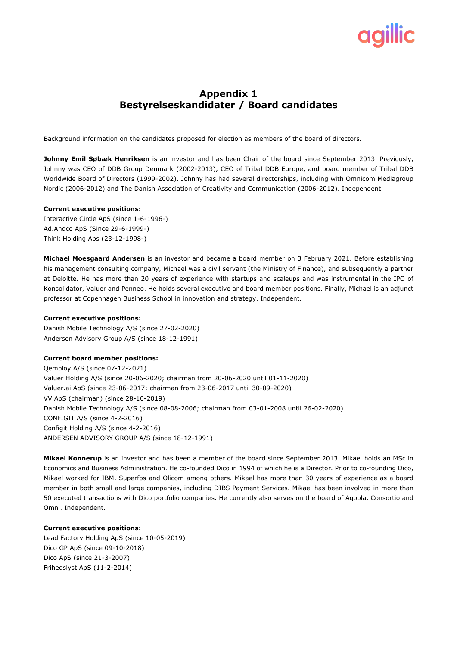# **Appendix 1 Bestyrelseskandidater / Board candidates**

Background information on the candidates proposed for election as members of the board of directors.

**Johnny Emil Søbæk Henriksen** is an investor and has been Chair of the board since September 2013. Previously, Johnny was CEO of DDB Group Denmark (2002-2013), CEO of Tribal DDB Europe, and board member of Tribal DDB Worldwide Board of Directors (1999-2002). Johnny has had several directorships, including with Omnicom Mediagroup Nordic (2006-2012) and The Danish Association of Creativity and Communication (2006-2012). Independent.

#### **Current executive positions:**

Interactive Circle ApS (since 1-6-1996-) Ad.Andco ApS (Since 29-6-1999-) Think Holding Aps (23-12-1998-)

**Michael Moesgaard Andersen** is an investor and became a board member on 3 February 2021. Before establishing his management consulting company, Michael was a civil servant (the Ministry of Finance), and subsequently a partner at Deloitte. He has more than 20 years of experience with startups and scaleups and was instrumental in the IPO of Konsolidator, Valuer and Penneo. He holds several executive and board member positions. Finally, Michael is an adjunct professor at Copenhagen Business School in innovation and strategy. Independent.

#### **Current executive positions:**

Danish Mobile Technology A/S (since 27-02-2020) Andersen Advisory Group A/S (since 18-12-1991)

### **Current board member positions:**

Qemploy A/S (since 07-12-2021) Valuer Holding A/S (since 20-06-2020; chairman from 20-06-2020 until 01-11-2020) Valuer.ai ApS (since 23-06-2017; chairman from 23-06-2017 until 30-09-2020) VV ApS (chairman) (since 28-10-2019) Danish Mobile Technology A/S (since 08-08-2006; chairman from 03-01-2008 until 26-02-2020) CONFIGIT A/S (since 4-2-2016) Configit Holding A/S (since 4-2-2016) ANDERSEN ADVISORY GROUP A/S (since 18-12-1991)

**Mikael Konnerup** is an investor and has been a member of the board since September 2013. Mikael holds an MSc in Economics and Business Administration. He co-founded Dico in 1994 of which he is a Director. Prior to co-founding Dico, Mikael worked for IBM, Superfos and Olicom among others. Mikael has more than 30 years of experience as a board member in both small and large companies, including DIBS Payment Services. Mikael has been involved in more than 50 executed transactions with Dico portfolio companies. He currently also serves on the board of Aqoola, Consortio and Omni. Independent.

# **Current executive positions:**

Lead Factory Holding ApS (since 10-05-2019) Dico GP ApS (since 09-10-2018) Dico ApS (since 21-3-2007) Frihedslyst ApS (11-2-2014)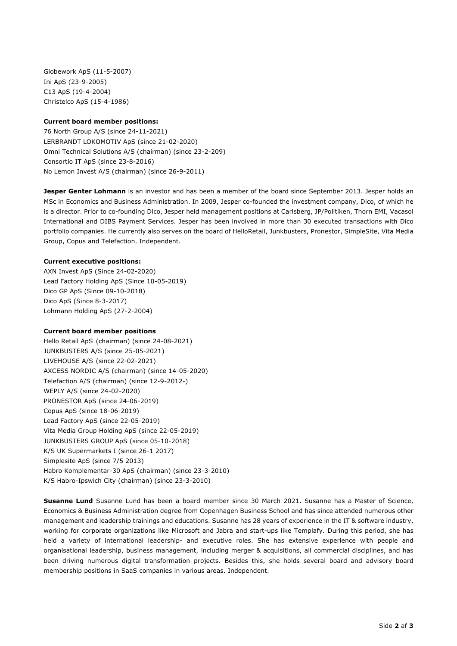Globework ApS (11-5-2007) Ini ApS (23-9-2005) C13 ApS (19-4-2004) Christelco ApS (15-4-1986)

#### **Current board member positions:**

76 North Group A/S (since 24-11-2021) LERBRANDT LOKOMOTIV ApS (since 21-02-2020) Omni Technical Solutions A/S (chairman) (since 23-2-209) Consortio IT ApS (since 23-8-2016) No Lemon Invest A/S (chairman) (since 26-9-2011)

**Jesper Genter Lohmann** is an investor and has been a member of the board since September 2013. Jesper holds an MSc in Economics and Business Administration. In 2009, Jesper co-founded the investment company, Dico, of which he is a director. Prior to co-founding Dico, Jesper held management positions at Carlsberg, JP/Politiken, Thorn EMI, Vacasol International and DIBS Payment Services. Jesper has been involved in more than 30 executed transactions with Dico portfolio companies. He currently also serves on the board of HelloRetail, Junkbusters, Pronestor, SimpleSite, Vita Media Group, Copus and Telefaction. Independent.

#### **Current executive positions:**

AXN Invest ApS (Since 24-02-2020) Lead Factory Holding ApS (Since 10-05-2019) Dico GP ApS (Since 09-10-2018) Dico ApS (Since 8-3-2017) Lohmann Holding ApS (27-2-2004)

#### **Current board member positions**

Hello Retail ApS (chairman) (since 24-08-2021) JUNKBUSTERS A/S (since 25-05-2021) LIVEHOUSE A/S (since 22-02-2021) AXCESS NORDIC A/S (chairman) (since 14-05-2020) Telefaction A/S (chairman) (since 12-9-2012-) WEPLY A/S (since 24-02-2020) PRONESTOR ApS (since 24-06-2019) Copus ApS (since 18-06-2019) Lead Factory ApS (since 22-05-2019) Vita Media Group Holding ApS (since 22-05-2019) JUNKBUSTERS GROUP ApS (since 05-10-2018) K/S UK Supermarkets I (since 26-1 2017) Simplesite ApS (since 7/5 2013) Habro Komplementar-30 ApS (chairman) (since 23-3-2010) K/S Habro-Ipswich City (chairman) (since 23-3-2010)

**Susanne Lund** Susanne Lund has been a board member since 30 March 2021. Susanne has a Master of Science, Economics & Business Administration degree from Copenhagen Business School and has since attended numerous other management and leadership trainings and educations. Susanne has 28 years of experience in the IT & software industry, working for corporate organizations like Microsoft and Jabra and start-ups like Templafy. During this period, she has held a variety of international leadership- and executive roles. She has extensive experience with people and organisational leadership, business management, including merger & acquisitions, all commercial disciplines, and has been driving numerous digital transformation projects. Besides this, she holds several board and advisory board membership positions in SaaS companies in various areas. Independent.